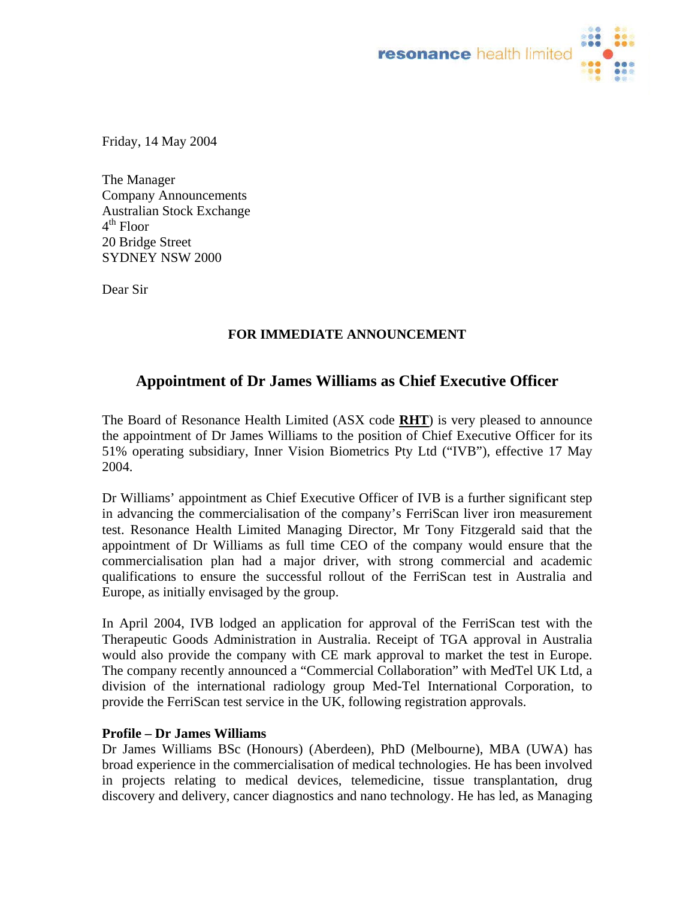

Friday, 14 May 2004

The Manager Company Announcements Australian Stock Exchange  $4<sup>th</sup>$  Floor 20 Bridge Street SYDNEY NSW 2000

Dear Sir

## **FOR IMMEDIATE ANNOUNCEMENT**

# **Appointment of Dr James Williams as Chief Executive Officer**

The Board of Resonance Health Limited (ASX code **RHT**) is very pleased to announce the appointment of Dr James Williams to the position of Chief Executive Officer for its 51% operating subsidiary, Inner Vision Biometrics Pty Ltd ("IVB"), effective 17 May 2004.

Dr Williams' appointment as Chief Executive Officer of IVB is a further significant step in advancing the commercialisation of the company's FerriScan liver iron measurement test. Resonance Health Limited Managing Director, Mr Tony Fitzgerald said that the appointment of Dr Williams as full time CEO of the company would ensure that the commercialisation plan had a major driver, with strong commercial and academic qualifications to ensure the successful rollout of the FerriScan test in Australia and Europe, as initially envisaged by the group.

In April 2004, IVB lodged an application for approval of the FerriScan test with the Therapeutic Goods Administration in Australia. Receipt of TGA approval in Australia would also provide the company with CE mark approval to market the test in Europe. The company recently announced a "Commercial Collaboration" with MedTel UK Ltd, a division of the international radiology group Med-Tel International Corporation, to provide the FerriScan test service in the UK, following registration approvals.

### **Profile – Dr James Williams**

Dr James Williams BSc (Honours) (Aberdeen), PhD (Melbourne), MBA (UWA) has broad experience in the commercialisation of medical technologies. He has been involved in projects relating to medical devices, telemedicine, tissue transplantation, drug discovery and delivery, cancer diagnostics and nano technology. He has led, as Managing